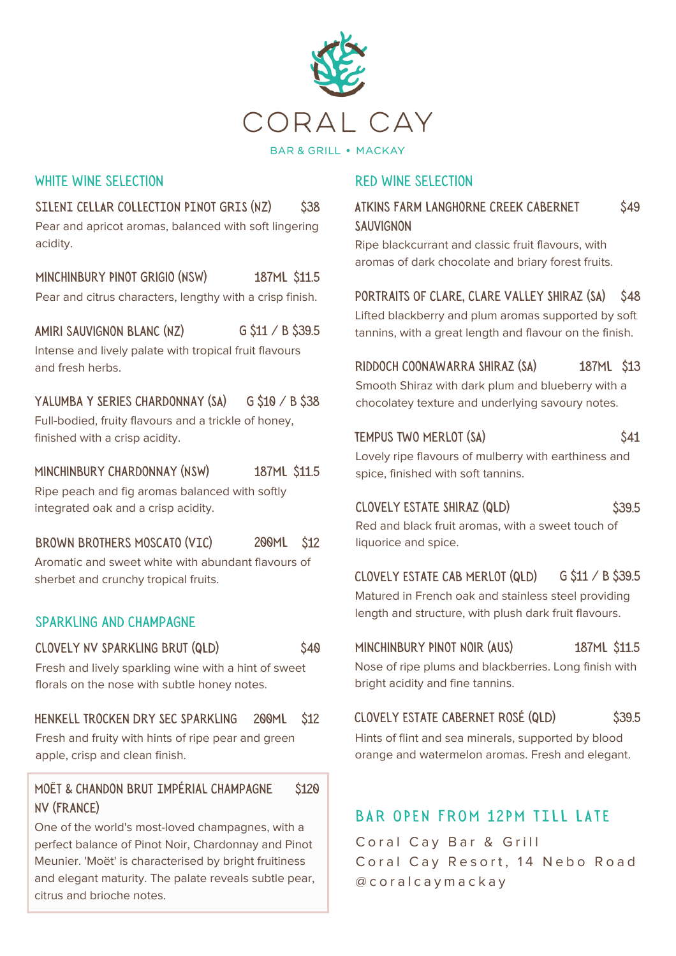

#### **BAR & GRILL . MACKAY**

\$40

#### WHITE WINE SELECTION

## SILENI CELLAR COLLECTION PINOT GRIS (NZ) \$38 Pear and apricot aromas, balanced with soft lingering

acidity.

Minchinbury Pinot Grigio (NsW) 187ML \$11.5 Pear and citrus characters, lengthy with a crisp finish.

amiri sauvignon blanc (NZ) G \$11 / B \$39.5 Intense and lively palate with tropical fruit flavours and fresh herbs.

#### yalumba Y Series Chardonnay (SA)  $G$  \$10 / B \$38 Full-bodied, fruity flavours and a trickle of honey, finished with a crisp acidity.

#### Minchinbury Chardonnay (NSW) 187ML \$11.5

Ripe peach and fig aromas balanced with softly integrated oak and a crisp acidity.

#### Brown Brothers Moscato (VIC) 200ML \$12

Aromatic and sweet white with abundant flavours of sherbet and crunchy tropical fruits.

## sparkling and champagne

#### Clovely NV Sparkling Brut (QLD)

Fresh and lively sparkling wine with a hint of sweet florals on the nose with subtle honey notes.

#### Henkell Trocken Dry Sec Sparkling 200ML \$12

Fresh and fruity with hints of ripe pear and green apple, crisp and clean finish.

#### Moët & Chandon Brut Impérial Champagne NV (France) \$120

One of the world's most-loved champagnes, with a perfect balance of Pinot Noir, Chardonnay and Pinot Meunier. 'Moët' is characterised by bright fruitiness and elegant maturity. The palate reveals subtle pear, citrus and brioche notes.

### red wine selection

#### Atkins Farm Langhorne Creek Cabernet **SAUVIGNON** \$49

Ripe blackcurrant and classic fruit flavours, with aromas of dark chocolate and briary forest fruits.

#### portraits Of Clare, Clare Valley Shiraz (SA) \$48

Lifted blackberry and plum aromas supported by soft tannins, with a great length and flavour on the finish.

Riddoch Coonawarra Shiraz (SA) 187ML \$13

Smooth Shiraz with dark plum and blueberry with a chocolatey texture and underlying savoury notes.

#### TEMPUS TWO MERLOT (SA) \$41

Lovely ripe flavours of mulberry with earthiness and spice, finished with soft tannins.

## CLOVELY ESTATE SHIRAZ (QLD) \$39.5

Minchinbury Pinot Noir (AUS)

Red and black fruit aromas, with a sweet touch of liquorice and spice.

Clovely Estate Cab Merlot (QLD)  $G$  \$11 / B \$39.5

Matured in French oak and stainless steel providing length and structure, with plush dark fruit flavours.

### 187ML \$11.5

Nose of ripe plums and blackberries. Long finish with bright acidity and fine tannins.

# Clovely Estate Cabernet Rosé (QLD) \$39.5

Hints of flint and sea minerals, supported by blood orange and watermelon aromas. Fresh and elegant.

# BAR OPEN FROM 12PM TTLL LATE

Coral Cay Bar & Grill Coral Cay Resort, 14 Nebo Road @ c o r a l c a y m a c k a y